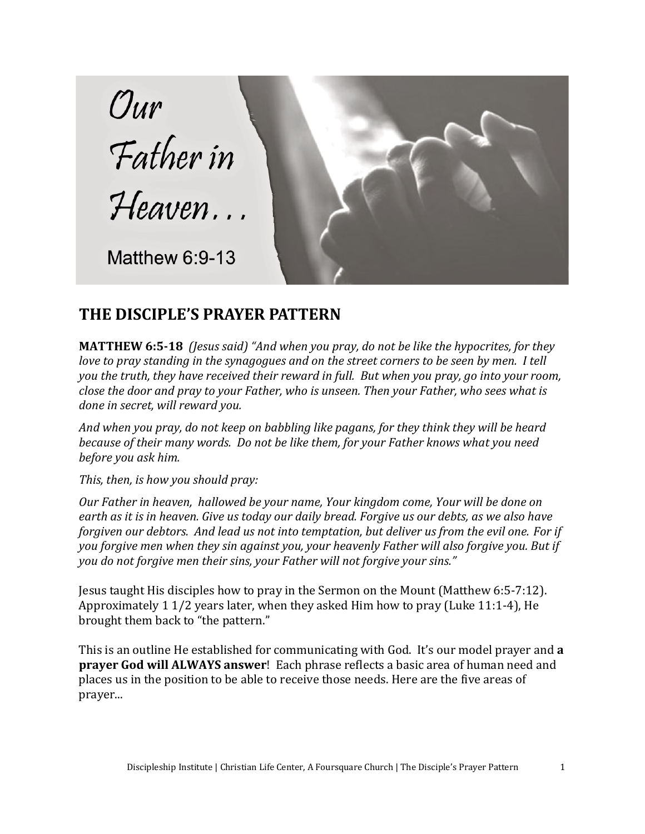

## **THE DISCIPLE'S PRAYER PATTERN**

**MATTHEW 6:5-18** *(Jesus said) "And when you pray, do not be like the hypocrites, for they love to pray standing in the synagogues and on the street corners to be seen by men. I tell you the truth, they have received their reward in full. But when you pray, go into your room, close the door and pray to your Father, who is unseen. Then your Father, who sees what is done in secret, will reward you.* 

*And when you pray, do not keep on babbling like pagans, for they think they will be heard because of their many words. Do not be like them, for your Father knows what you need before you ask him.* 

*This, then, is how you should pray:* 

*Our Father in heaven, hallowed be your name, Your kingdom come, Your will be done on earth as it is in heaven. Give us today our daily bread. Forgive us our debts, as we also have forgiven our debtors. And lead us not into temptation, but deliver us from the evil one. For if you forgive men when they sin against you, your heavenly Father will also forgive you. But if you do not forgive men their sins, your Father will not forgive your sins."*

Jesus taught His disciples how to pray in the Sermon on the Mount (Matthew 6:5-7:12). Approximately 1 1/2 years later, when they asked Him how to pray (Luke 11:1-4), He brought them back to "the pattern."

This is an outline He established for communicating with God. It's our model prayer and **a prayer God will ALWAYS answer**! Each phrase reflects a basic area of human need and places us in the position to be able to receive those needs. Here are the five areas of prayer...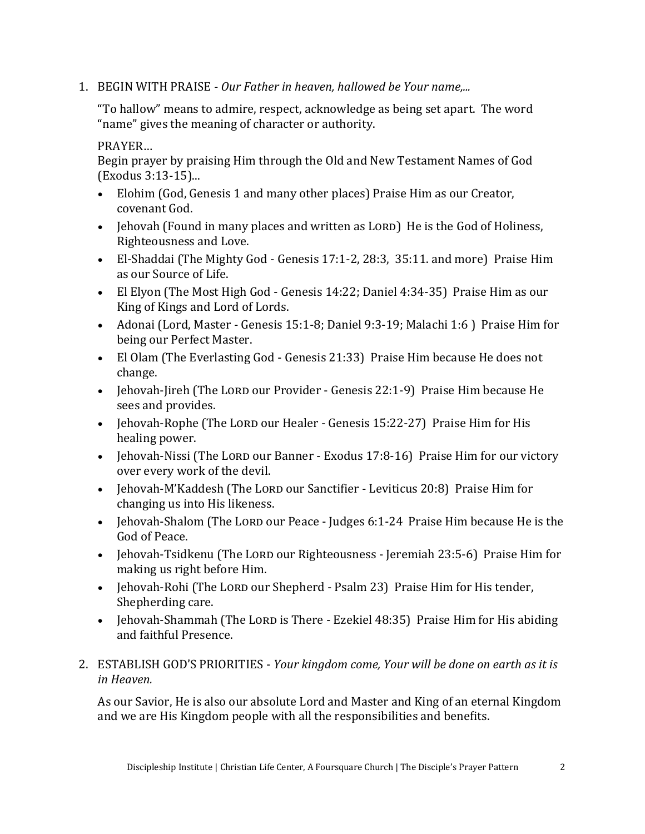1. BEGIN WITH PRAISE - *Our Father in heaven, hallowed be Your name,...*

"To hallow" means to admire, respect, acknowledge as being set apart. The word "name" gives the meaning of character or authority.

PRAYER…

Begin prayer by praising Him through the Old and New Testament Names of God (Exodus 3:13-15)...

- Elohim (God, Genesis 1 and many other places) Praise Him as our Creator, covenant God.
- Jehovah (Found in many places and written as LORD) He is the God of Holiness, Righteousness and Love.
- El-Shaddai (The Mighty God Genesis 17:1-2, 28:3, 35:11. and more) Praise Him as our Source of Life.
- El Elyon (The Most High God Genesis 14:22; Daniel 4:34-35) Praise Him as our King of Kings and Lord of Lords.
- Adonai (Lord, Master Genesis 15:1-8; Daniel 9:3-19; Malachi 1:6 ) Praise Him for being our Perfect Master.
- El Olam (The Everlasting God Genesis 21:33) Praise Him because He does not change.
- Jehovah-Jireh (The Lord our Provider Genesis 22:1-9) Praise Him because He sees and provides.
- Jehovah-Rophe (The Lord our Healer Genesis 15:22-27) Praise Him for His healing power.
- Jehovah-Nissi (The LORD our Banner Exodus 17:8-16) Praise Him for our victory over every work of the devil.
- Jehovah-M'Kaddesh (The LORD our Sanctifier Leviticus 20:8) Praise Him for changing us into His likeness.
- Jehovah-Shalom (The Lord our Peace Judges 6:1-24 Praise Him because He is the God of Peace.
- Jehovah-Tsidkenu (The Lord our Righteousness Jeremiah 23:5-6) Praise Him for making us right before Him.
- Jehovah-Rohi (The LORD our Shepherd Psalm 23) Praise Him for His tender, Shepherding care.
- Jehovah-Shammah (The LORD is There Ezekiel 48:35) Praise Him for His abiding and faithful Presence.
- 2. ESTABLISH GOD'S PRIORITIES *Your kingdom come, Your will be done on earth as it is in Heaven.*

As our Savior, He is also our absolute Lord and Master and King of an eternal Kingdom and we are His Kingdom people with all the responsibilities and benefits.